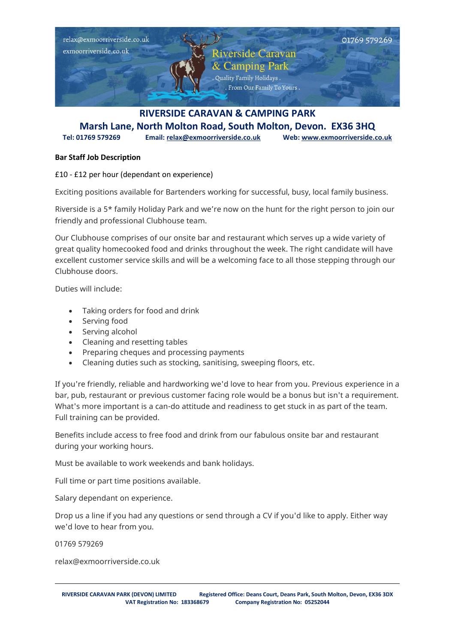

## **Marsh Lane, North Molton Road, South Molton, Devon. EX36 3HQ Tel: 01769 579269 Email: [relax@exmoorriverside.co.uk](mailto:relax@exmoorriverside.co.uk) Web[: www.exmoorriverside.co.uk](http://www.exmoorriverside.co.uk/)**

## **Bar Staff Job Description**

£10 - £12 per hour (dependant on experience)

Exciting positions available for Bartenders working for successful, busy, local family business.

Riverside is a 5\* family Holiday Park and we're now on the hunt for the right person to join our friendly and professional Clubhouse team.

Our Clubhouse comprises of our onsite bar and restaurant which serves up a wide variety of great quality homecooked food and drinks throughout the week. The right candidate will have excellent customer service skills and will be a welcoming face to all those stepping through our Clubhouse doors.

Duties will include:

- Taking orders for food and drink
- Serving food
- Serving alcohol
- Cleaning and resetting tables
- Preparing cheques and processing payments
- Cleaning duties such as stocking, sanitising, sweeping floors, etc.

If you're friendly, reliable and hardworking we'd love to hear from you. Previous experience in a bar, pub, restaurant or previous customer facing role would be a bonus but isn't a requirement. What's more important is a can-do attitude and readiness to get stuck in as part of the team. Full training can be provided.

Benefits include access to free food and drink from our fabulous onsite bar and restaurant during your working hours.

Must be available to work weekends and bank holidays.

Full time or part time positions available.

Salary dependant on experience.

Drop us a line if you had any questions or send through a CV if you'd like to apply. Either way we'd love to hear from you.

01769 579269

relax@exmoorriverside.co.uk